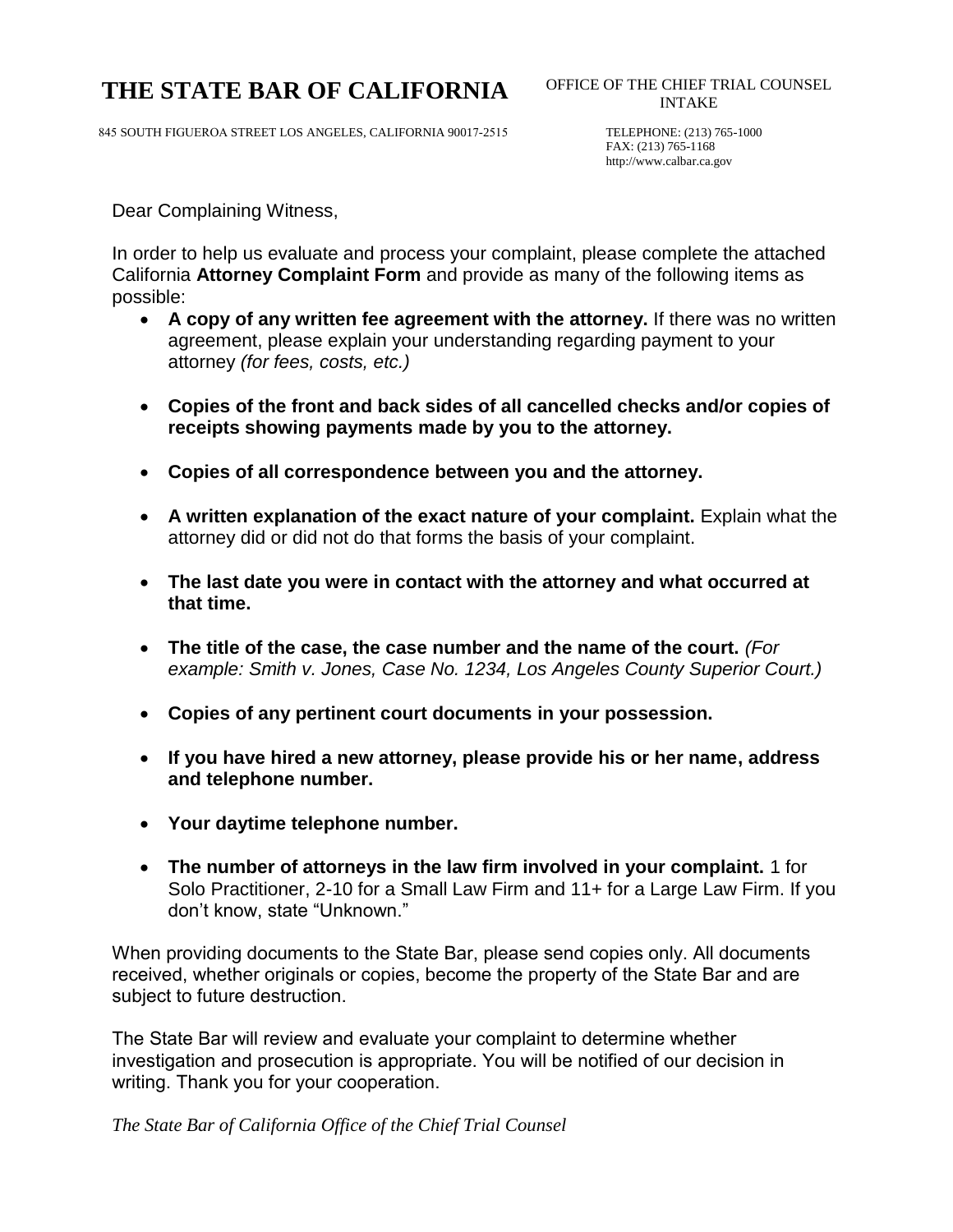# THE STATE BAR OF CALIFORNIA OFFICE OF THE CHIEF TRIAL COUNSEL

845 SOUTH FIGUEROA STREET LOS ANGELES, CALIFORNIA 90017-2515 TELEPHONE: (213) 765-1000

FAX: (213) 765-1168 http://www.calbar.ca.gov

Dear Complaining Witness,

In order to help us evaluate and process your complaint, please complete the attached California **Attorney Complaint Form** and provide as many of the following items as possible:

- · **A copy of any written fee agreement with the attorney.** If there was no written agreement, please explain your understanding regarding payment to your attorney *(for fees, costs, etc.)*
- · **Copies of the front and back sides of all cancelled checks and/or copies of receipts showing payments made by you to the attorney.**
- · **Copies of all correspondence between you and the attorney.**
- · **A written explanation of the exact nature of your complaint.** Explain what the attorney did or did not do that forms the basis of your complaint.
- · **The last date you were in contact with the attorney and what occurred at that time.**
- · **The title of the case, the case number and the name of the court.** *(For example: Smith v. Jones, Case No. 1234, Los Angeles County Superior Court.)*
- · **Copies of any pertinent court documents in your possession.**
- · **If you have hired a new attorney, please provide his or her name, address and telephone number.**
- · **Your daytime telephone number.**
- · **The number of attorneys in the law firm involved in your complaint.** 1 for Solo Practitioner, 2-10 for a Small Law Firm and 11+ for a Large Law Firm. If you don't know, state "Unknown."

When providing documents to the State Bar, please send copies only. All documents received, whether originals or copies, become the property of the State Bar and are subject to future destruction.

The State Bar will review and evaluate your complaint to determine whether investigation and prosecution is appropriate. You will be notified of our decision in writing. Thank you for your cooperation.

*The State Bar of California Office of the Chief Trial Counsel*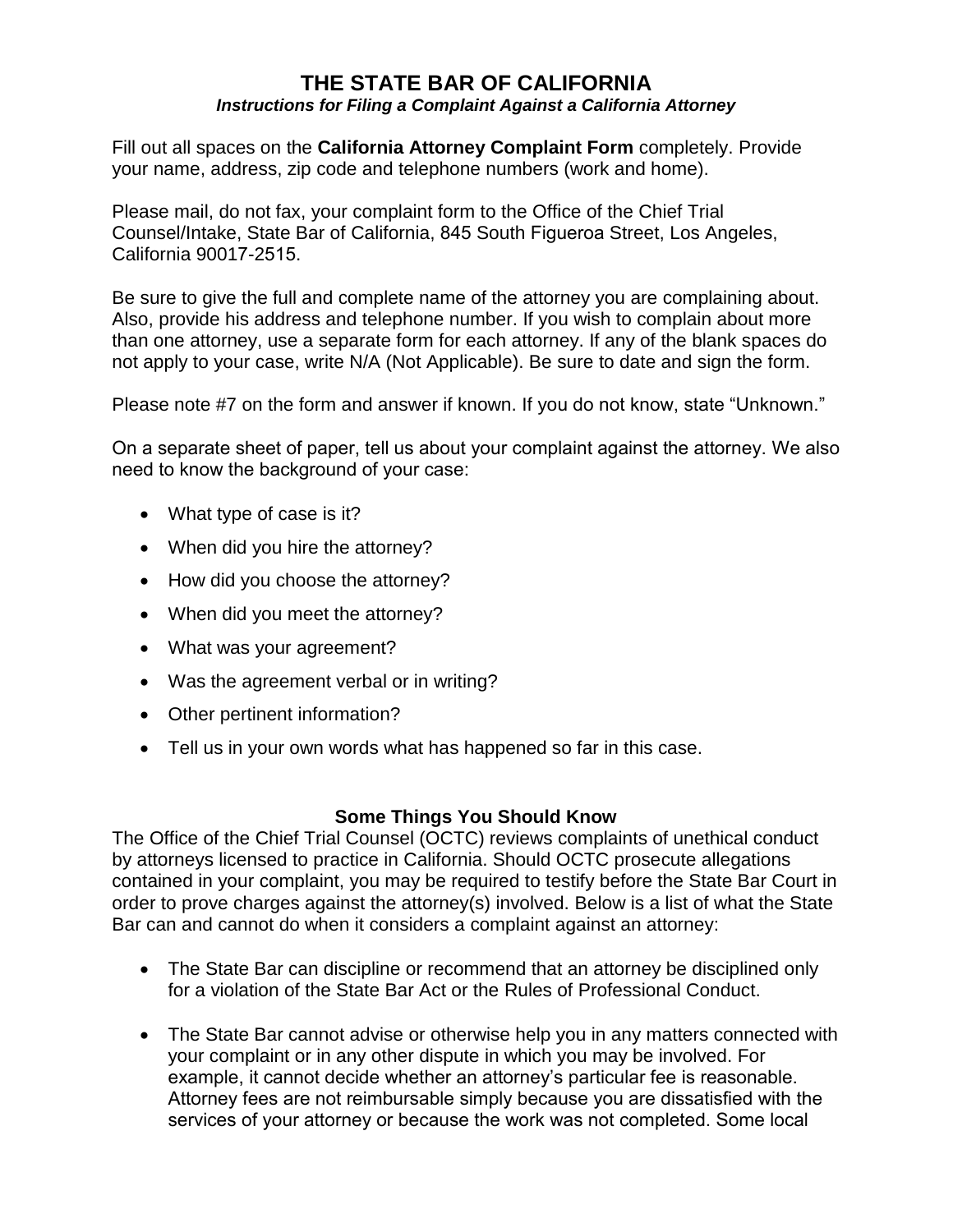### **THE STATE BAR OF CALIFORNIA** *Instructions for Filing a Complaint Against a California Attorney*

Fill out all spaces on the **California Attorney Complaint Form** completely. Provide your name, address, zip code and telephone numbers (work and home).

Please mail, do not fax, your complaint form to the Office of the Chief Trial Counsel/Intake, State Bar of California, 845 South Figueroa Street, Los Angeles, California 90017-2515.

Be sure to give the full and complete name of the attorney you are complaining about. Also, provide his address and telephone number. If you wish to complain about more than one attorney, use a separate form for each attorney. If any of the blank spaces do not apply to your case, write N/A (Not Applicable). Be sure to date and sign the form.

Please note #7 on the form and answer if known. If you do not know, state "Unknown."

On a separate sheet of paper, tell us about your complaint against the attorney. We also need to know the background of your case:

- What type of case is it?
- When did you hire the attorney?
- How did you choose the attorney?
- When did you meet the attorney?
- · What was your agreement?
- · Was the agreement verbal or in writing?
- Other pertinent information?
- · Tell us in your own words what has happened so far in this case.

### **Some Things You Should Know**

The Office of the Chief Trial Counsel (OCTC) reviews complaints of unethical conduct by attorneys licensed to practice in California. Should OCTC prosecute allegations contained in your complaint, you may be required to testify before the State Bar Court in order to prove charges against the attorney(s) involved. Below is a list of what the State Bar can and cannot do when it considers a complaint against an attorney:

- The State Bar can discipline or recommend that an attorney be disciplined only for a violation of the State Bar Act or the Rules of Professional Conduct.
- · The State Bar cannot advise or otherwise help you in any matters connected with your complaint or in any other dispute in which you may be involved. For example, it cannot decide whether an attorney's particular fee is reasonable. Attorney fees are not reimbursable simply because you are dissatisfied with the services of your attorney or because the work was not completed. Some local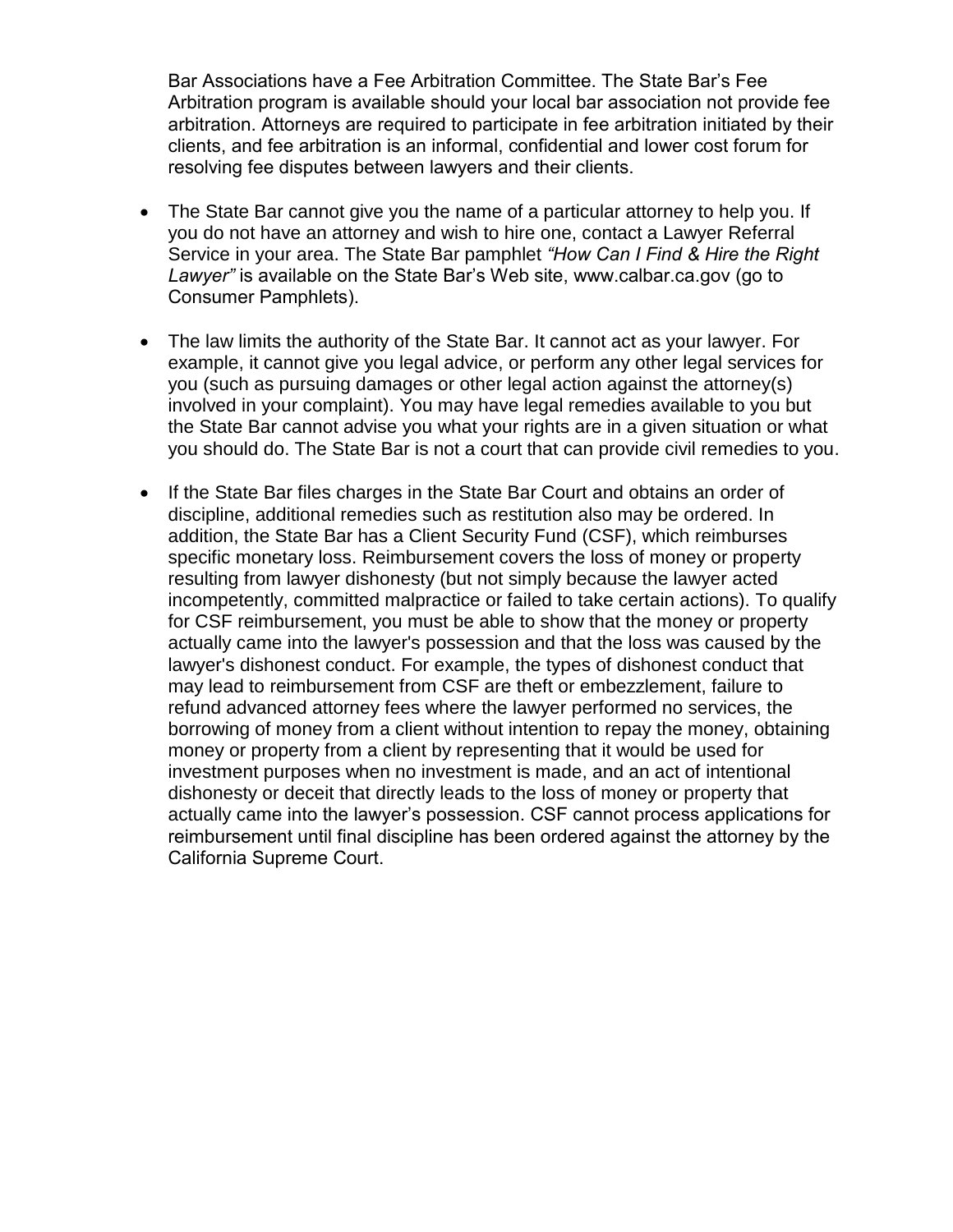Bar Associations have a Fee Arbitration Committee. The State Bar's Fee Arbitration program is available should your local bar association not provide fee arbitration. Attorneys are required to participate in fee arbitration initiated by their clients, and fee arbitration is an informal, confidential and lower cost forum for resolving fee disputes between lawyers and their clients.

- · The State Bar cannot give you the name of a particular attorney to help you. If you do not have an attorney and wish to hire one, contact a Lawyer Referral Service in your area. The State Bar pamphlet *"How Can I Find & Hire the Right Lawyer"* is available on the State Bar's Web site, www.calbar.ca.gov (go to Consumer Pamphlets).
- · The law limits the authority of the State Bar. It cannot act as your lawyer. For example, it cannot give you legal advice, or perform any other legal services for you (such as pursuing damages or other legal action against the attorney(s) involved in your complaint). You may have legal remedies available to you but the State Bar cannot advise you what your rights are in a given situation or what you should do. The State Bar is not a court that can provide civil remedies to you.
- · If the State Bar files charges in the State Bar Court and obtains an order of discipline, additional remedies such as restitution also may be ordered. In addition, the State Bar has a Client Security Fund (CSF), which reimburses specific monetary loss. Reimbursement covers the loss of money or property resulting from lawyer dishonesty (but not simply because the lawyer acted incompetently, committed malpractice or failed to take certain actions). To qualify for CSF reimbursement, you must be able to show that the money or property actually came into the lawyer's possession and that the loss was caused by the lawyer's dishonest conduct. For example, the types of dishonest conduct that may lead to reimbursement from CSF are theft or embezzlement, failure to refund advanced attorney fees where the lawyer performed no services, the borrowing of money from a client without intention to repay the money, obtaining money or property from a client by representing that it would be used for investment purposes when no investment is made, and an act of intentional dishonesty or deceit that directly leads to the loss of money or property that actually came into the lawyer's possession. CSF cannot process applications for reimbursement until final discipline has been ordered against the attorney by the California Supreme Court.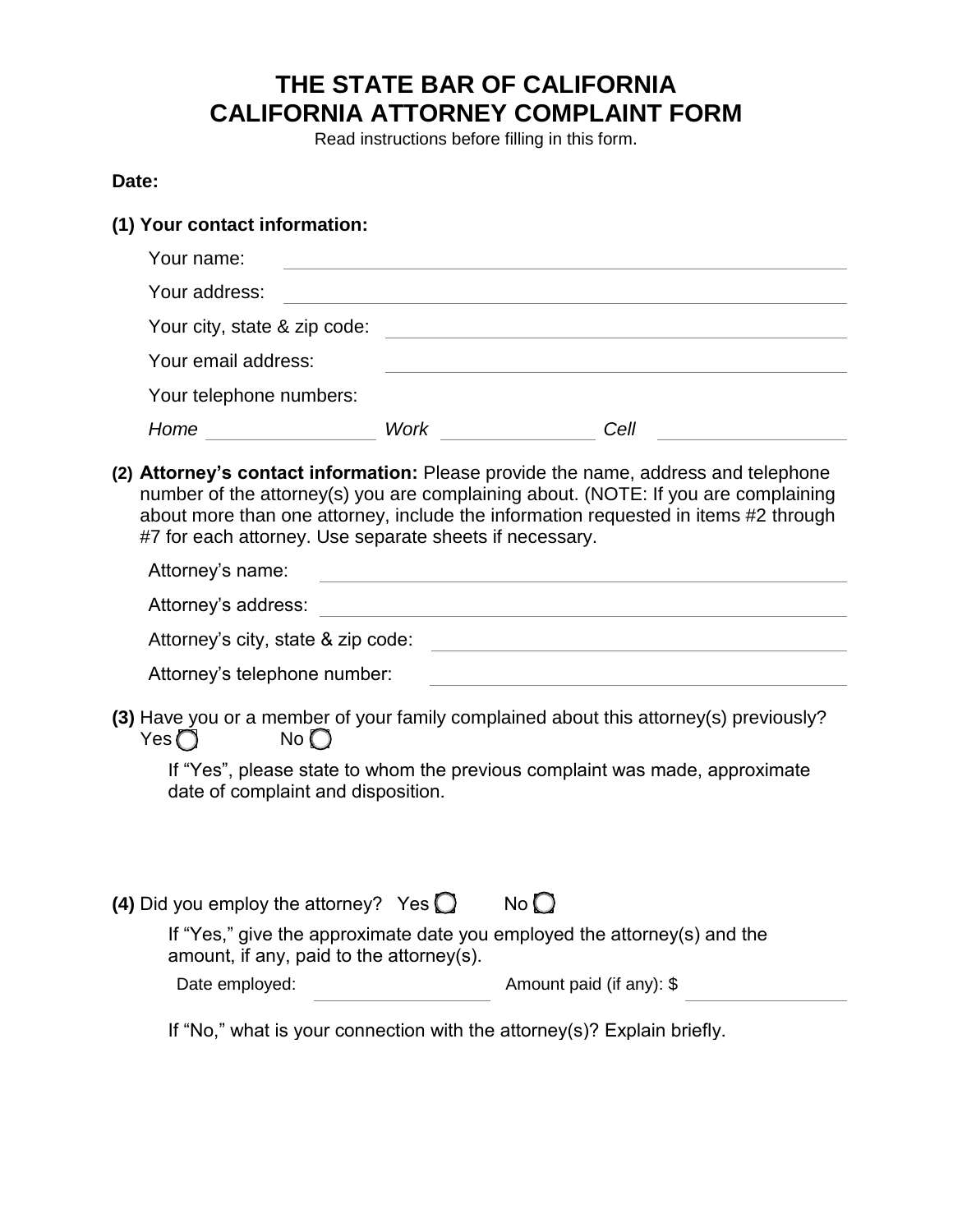## **THE STATE BAR OF CALIFORNIA CALIFORNIA ATTORNEY COMPLAINT FORM**

Read instructions before filling in this form.

#### **Date:**

#### **(1) Your contact information:**

| Your name:                   |      |      |
|------------------------------|------|------|
| Your address:                |      |      |
| Your city, state & zip code: |      |      |
| Your email address:          |      |      |
| Your telephone numbers:      |      |      |
| Home                         | Work | Cell |
|                              |      |      |

**(2) Attorney's contact information:** Please provide the name, address and telephone number of the attorney(s) you are complaining about. (NOTE: If you are complaining about more than one attorney, include the information requested in items #2 through #7 for each attorney. Use separate sheets if necessary.

| Attorney's name:                   |  |  |  |
|------------------------------------|--|--|--|
| Attorney's address:                |  |  |  |
| Attorney's city, state & zip code: |  |  |  |

| Attorney's telephone number: |  |  |
|------------------------------|--|--|
|------------------------------|--|--|

**(3)** Have you or a member of your family complained about this attorney(s) previously?  $Yes \bigcirc$  No  $\bigcirc$ 

If "Yes", please state to whom the previous complaint was made, approximate date of complaint and disposition.

| (4) Did you employ the attorney? Yes $\bigcirc$ |  | No |
|-------------------------------------------------|--|----|
|-------------------------------------------------|--|----|

| If "Yes," give the approximate date you employed the attorney(s) and the |  |
|--------------------------------------------------------------------------|--|
| amount, if any, paid to the attorney(s).                                 |  |

Date employed: Amount paid (if any): \$

If "No," what is your connection with the attorney(s)? Explain briefly.